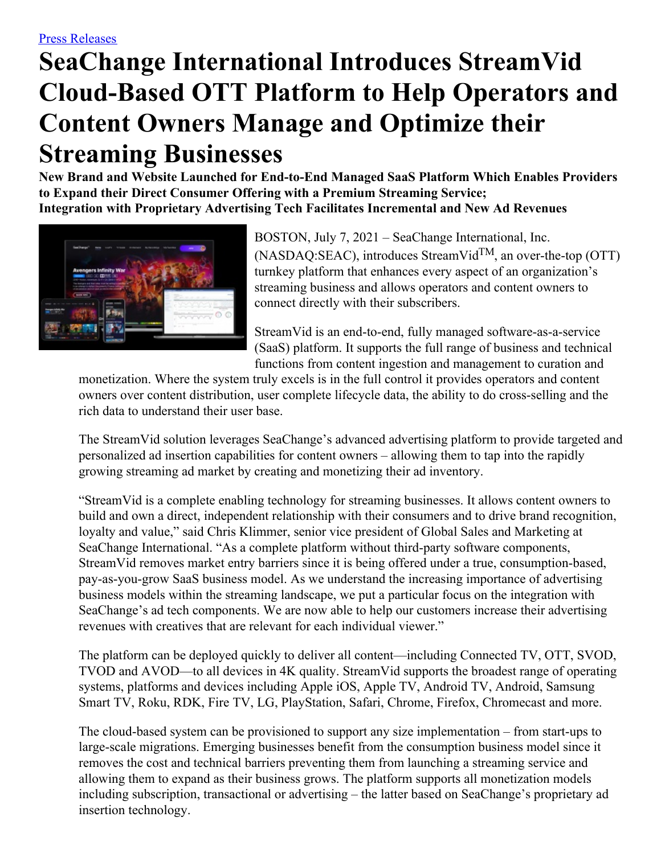# **SeaChange International Introduces StreamVid Cloud-Based OTT Platform to Help Operators and Content Owners Manage and Optimize their Streaming Businesses**

**New Brand and Website Launched for End-to-End Managed SaaS Platform Which Enables Providers to Expand their Direct Consumer Offering with a Premium Streaming Service; Integration with Proprietary Advertising Tech Facilitates Incremental and New Ad Revenues**



BOSTON, July 7, 2021 – SeaChange International, Inc.  $(NASDAQ:SEAC)$ , introduces StreamVid<sup>TM</sup>, an over-the-top (OTT) turnkey platform that enhances every aspect of an organization's streaming business and allows operators and content owners to connect directly with their subscribers.

StreamVid is an end-to-end, fully managed software-as-a-service (SaaS) platform. It supports the full range of business and technical functions from content ingestion and management to curation and

monetization. Where the system truly excels is in the full control it provides operators and content owners over content distribution, user complete lifecycle data, the ability to do cross-selling and the rich data to understand their user base.

The StreamVid solution leverages SeaChange's advanced advertising platform to provide targeted and personalized ad insertion capabilities for content owners – allowing them to tap into the rapidly growing streaming ad market by creating and monetizing their ad inventory.

"StreamVid is a complete enabling technology for streaming businesses. It allows content owners to build and own a direct, independent relationship with their consumers and to drive brand recognition, loyalty and value," said Chris Klimmer, senior vice president of Global Sales and Marketing at SeaChange International. "As a complete platform without third-party software components, StreamVid removes market entry barriers since it is being offered under a true, consumption-based, pay-as-you-grow SaaS business model. As we understand the increasing importance of advertising business models within the streaming landscape, we put a particular focus on the integration with SeaChange's ad tech components. We are now able to help our customers increase their advertising revenues with creatives that are relevant for each individual viewer."

The platform can be deployed quickly to deliver all content—including Connected TV, OTT, SVOD, TVOD and AVOD—to all devices in 4K quality. StreamVid supports the broadest range of operating systems, platforms and devices including Apple iOS, Apple TV, Android TV, Android, Samsung Smart TV, Roku, RDK, Fire TV, LG, PlayStation, Safari, Chrome, Firefox, Chromecast and more.

The cloud-based system can be provisioned to support any size implementation – from start-ups to large-scale migrations. Emerging businesses benefit from the consumption business model since it removes the cost and technical barriers preventing them from launching a streaming service and allowing them to expand as their business grows. The platform supports all monetization models including subscription, transactional or advertising – the latter based on SeaChange's proprietary ad insertion technology.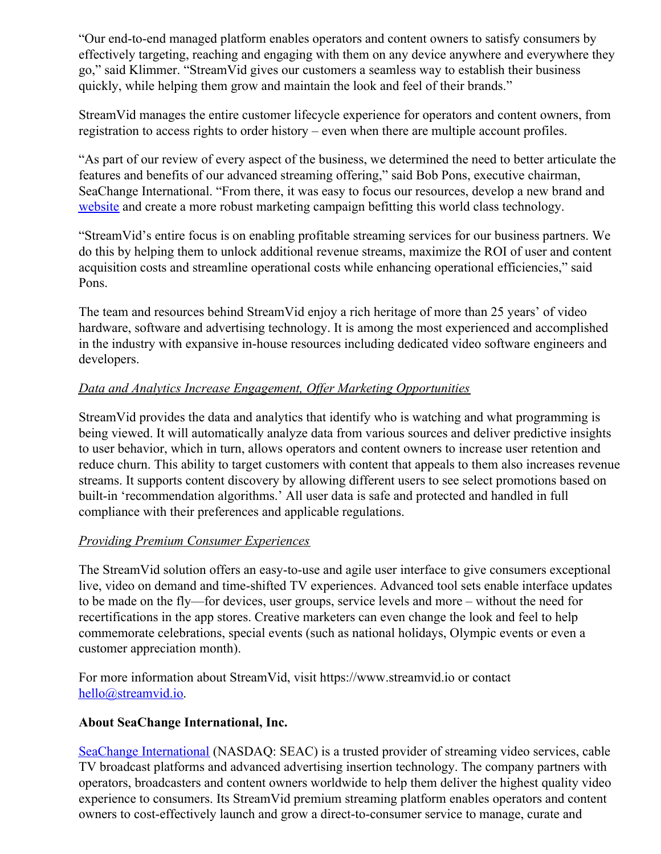"Our end-to-end managed platform enables operators and content owners to satisfy consumers by effectively targeting, reaching and engaging with them on any device anywhere and everywhere they go," said Klimmer. "StreamVid gives our customers a seamless way to establish their business quickly, while helping them grow and maintain the look and feel of their brands."

StreamVid manages the entire customer lifecycle experience for operators and content owners, from registration to access rights to order history – even when there are multiple account profiles.

"As part of our review of every aspect of the business, we determined the need to better articulate the features and benefits of our advanced streaming offering," said Bob Pons, executive chairman, SeaChange International. "From there, it was easy to focus our resources, develop a new brand and [website](https://www.streamvid.io/) and create a more robust marketing campaign befitting this world class technology.

"StreamVid's entire focus is on enabling profitable streaming services for our business partners. We do this by helping them to unlock additional revenue streams, maximize the ROI of user and content acquisition costs and streamline operational costs while enhancing operational efficiencies," said Pons.

The team and resources behind StreamVid enjoy a rich heritage of more than 25 years' of video hardware, software and advertising technology. It is among the most experienced and accomplished in the industry with expansive in-house resources including dedicated video software engineers and developers.

# *Data and Analytics Increase Engagement, Of er Marketing Opportunities*

StreamVid provides the data and analytics that identify who is watching and what programming is being viewed. It will automatically analyze data from various sources and deliver predictive insights to user behavior, which in turn, allows operators and content owners to increase user retention and reduce churn. This ability to target customers with content that appeals to them also increases revenue streams. It supports content discovery by allowing different users to see select promotions based on built-in 'recommendation algorithms.' All user data is safe and protected and handled in full compliance with their preferences and applicable regulations.

## *Providing Premium Consumer Experiences*

The StreamVid solution offers an easy-to-use and agile user interface to give consumers exceptional live, video on demand and time-shifted TV experiences. Advanced tool sets enable interface updates to be made on the fly—for devices, user groups, service levels and more – without the need for recertifications in the app stores. Creative marketers can even change the look and feel to help commemorate celebrations, special events (such as national holidays, Olympic events or even a customer appreciation month).

For more information about StreamVid, visit https://www.streamvid.io or contact [hello@streamvid.io](mailto:hello@streamvid.io).

## **About SeaChange International, Inc.**

SeaChange [International](http://www.seachange.com/) (NASDAQ: SEAC) is a trusted provider of streaming video services, cable TV broadcast platforms and advanced advertising insertion technology. The company partners with operators, broadcasters and content owners worldwide to help them deliver the highest quality video experience to consumers. Its StreamVid premium streaming platform enables operators and content owners to cost-effectively launch and grow a direct-to-consumer service to manage, curate and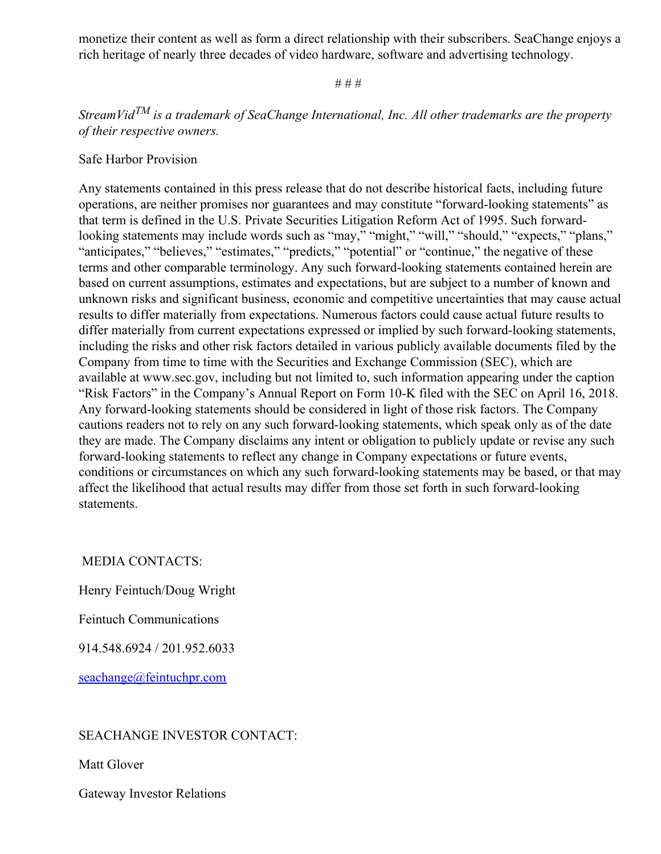monetize their content as well as form a direct relationship with their subscribers. SeaChange enjoys a rich heritage of nearly three decades of video hardware, software and advertising technology.

#### # # #

# *StreamVid TM is a trademark of SeaChange International, Inc. All other trademarks are the property of their respective owners.*

### Safe Harbor Provision

Any statements contained in this press release that do not describe historical facts, including future operations, are neither promises nor guarantees and may constitute "forward-looking statements" as that term is defined in the U.S. Private Securities Litigation Reform Act of 1995. Such forwardlooking statements may include words such as "may," "might," "will," "should," "expects," "plans," "anticipates," "believes," "estimates," "predicts," "potential" or "continue," the negative of these terms and other comparable terminology. Any such forward-looking statements contained herein are based on current assumptions, estimates and expectations, but are subject to a number of known and unknown risks and significant business, economic and competitive uncertainties that may cause actual results to differ materially from expectations. Numerous factors could cause actual future results to differ materially from current expectations expressed or implied by such forward-looking statements, including the risks and other risk factors detailed in various publicly available documents filed by the Company from time to time with the Securities and Exchange Commission (SEC), which are available at www.sec.gov, including but not limited to, such information appearing under the caption "Risk Factors" in the Company's Annual Report on Form 10-K filed with the SEC on April 16, 2018. Any forward-looking statements should be considered in light of those risk factors. The Company cautions readers not to rely on any such forward-looking statements, which speak only as of the date they are made. The Company disclaims any intent or obligation to publicly update or revise any such forward-looking statements to reflect any change in Company expectations or future events, conditions or circumstances on which any such forward-looking statements may be based, or that may affect the likelihood that actual results may differ from those set forth in such forward-looking statements.

MEDIA CONTACTS:

Henry Feintuch/Doug Wright

Feintuch Communications

914.548.6924 / 201.952.6033

[seachange@feintuchpr.com](mailto:seachange@feintuchpr.com)

## SEACHANGE INVESTOR CONTACT:

Matt Glover

Gateway Investor Relations